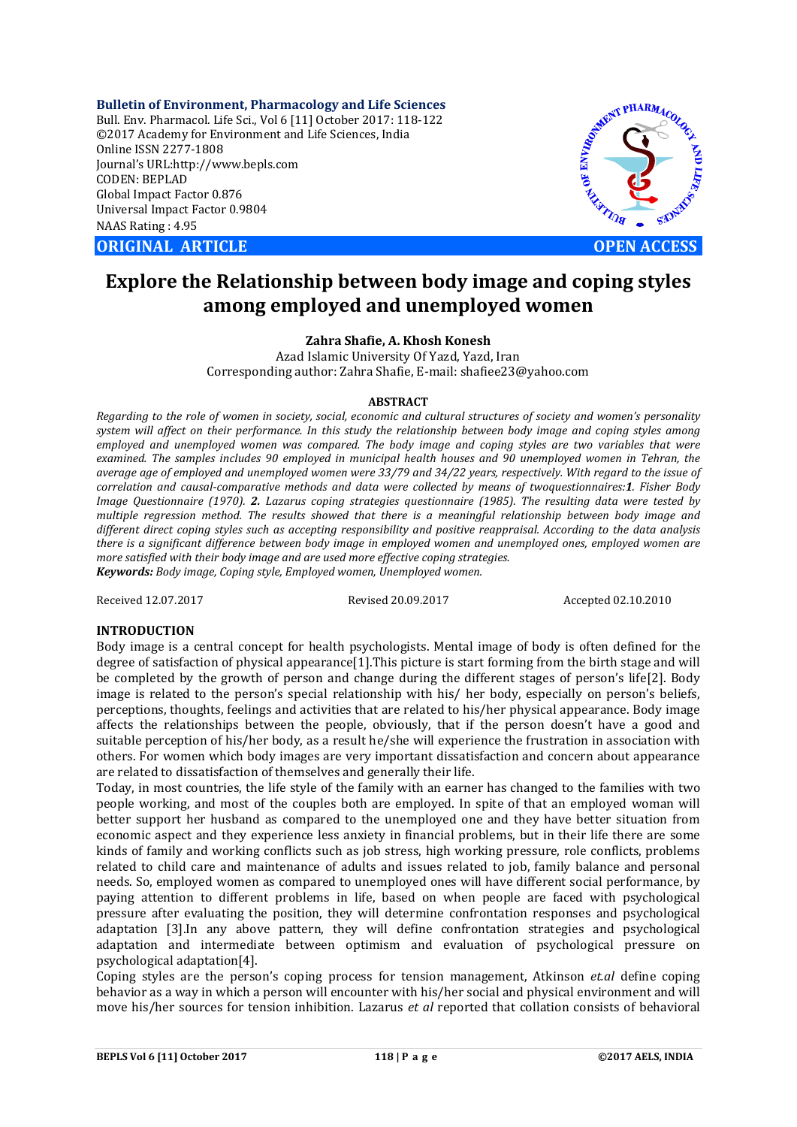**Bulletin of Environment, Pharmacology and Life Sciences** Bull. Env. Pharmacol. Life Sci., Vol 6 [11] October 2017: 118-122 ©2017 Academy for Environment and Life Sciences, India Online ISSN 2277-1808 Journal's URL:http://www.bepls.com CODEN: BEPLAD Global Impact Factor 0.876 Universal Impact Factor 0.9804 NAAS Rating : 4.95

**ORIGINAL ARTICLE OPEN ACCESS** 



# **Explore the Relationship between body image and coping styles among employed and unemployed women**

## **Zahra Shafie, A. Khosh Konesh**

Azad Islamic University Of Yazd, Yazd, Iran Corresponding author: Zahra Shafie, E-mail: shafiee23@yahoo.com

## **ABSTRACT**

*Regarding to the role of women in society, social, economic and cultural structures of society and women's personality system will affect on their performance. In this study the relationship between body image and coping styles among employed and unemployed women was compared. The body image and coping styles are two variables that were examined. The samples includes 90 employed in municipal health houses and 90 unemployed women in Tehran, the average age of employed and unemployed women were 33/79 and 34/22 years, respectively. With regard to the issue of correlation and causal-comparative methods and data were collected by means of twoquestionnaires:1. Fisher Body Image Questionnaire (1970). 2. Lazarus coping strategies questionnaire (1985). The resulting data were tested by multiple regression method. The results showed that there is a meaningful relationship between body image and different direct coping styles such as accepting responsibility and positive reappraisal. According to the data analysis there is a significant difference between body image in employed women and unemployed ones, employed women are more satisfied with their body image and are used more effective coping strategies. Keywords: Body image, Coping style, Employed women, Unemployed women.*

Received 12.07.2017 Revised 20.09.2017 Accepted 02.10.2010

## **INTRODUCTION**

Body image is a central concept for health psychologists. Mental image of body is often defined for the degree of satisfaction of physical appearance[1].This picture is start forming from the birth stage and will be completed by the growth of person and change during the different stages of person's life[2]. Body image is related to the person's special relationship with his/ her body, especially on person's beliefs, perceptions, thoughts, feelings and activities that are related to his/her physical appearance. Body image affects the relationships between the people, obviously, that if the person doesn't have a good and suitable perception of his/her body, as a result he/she will experience the frustration in association with others. For women which body images are very important dissatisfaction and concern about appearance are related to dissatisfaction of themselves and generally their life.

Today, in most countries, the life style of the family with an earner has changed to the families with two people working, and most of the couples both are employed. In spite of that an employed woman will better support her husband as compared to the unemployed one and they have better situation from economic aspect and they experience less anxiety in financial problems, but in their life there are some kinds of family and working conflicts such as job stress, high working pressure, role conflicts, problems related to child care and maintenance of adults and issues related to job, family balance and personal needs. So, employed women as compared to unemployed ones will have different social performance, by paying attention to different problems in life, based on when people are faced with psychological pressure after evaluating the position, they will determine confrontation responses and psychological adaptation [3].In any above pattern, they will define confrontation strategies and psychological adaptation and intermediate between optimism and evaluation of psychological pressure on psychological adaptation[4].

Coping styles are the person's coping process for tension management, Atkinson *et.al* define coping behavior as a way in which a person will encounter with his/her social and physical environment and will move his/her sources for tension inhibition. Lazarus *et al* reported that collation consists of behavioral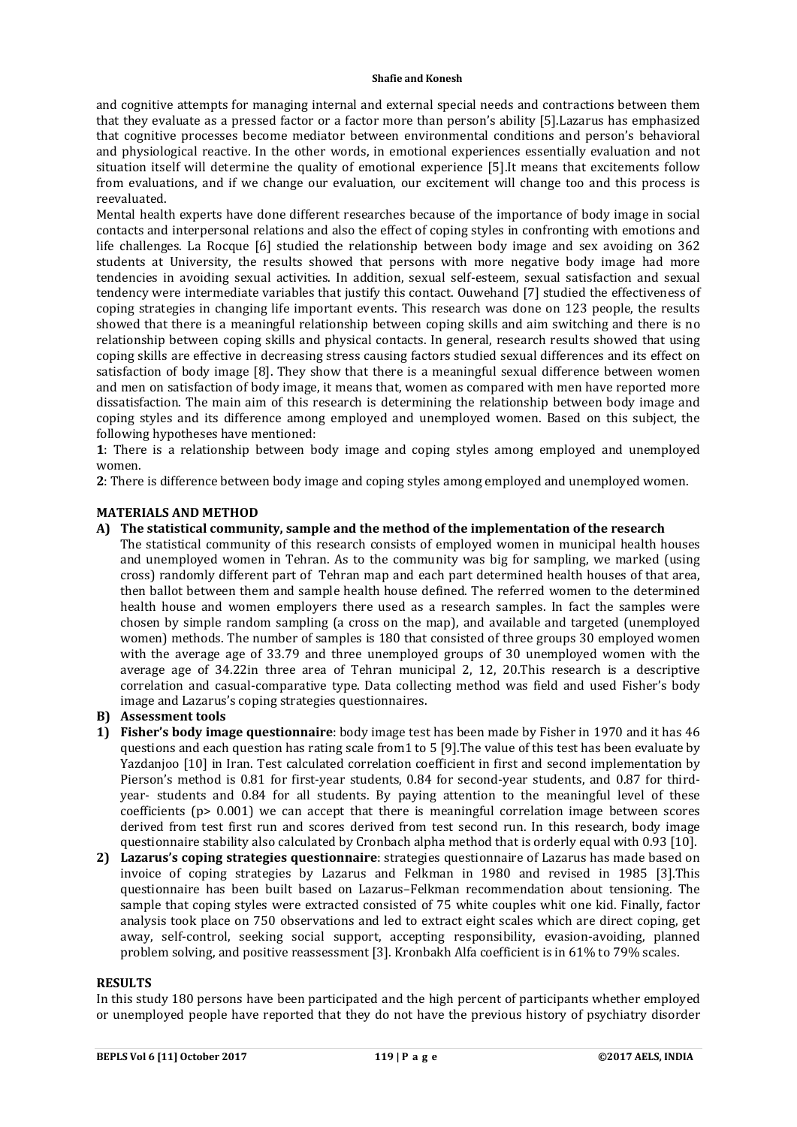and cognitive attempts for managing internal and external special needs and contractions between them that they evaluate as a pressed factor or a factor more than person's ability [5].Lazarus has emphasized that cognitive processes become mediator between environmental conditions and person's behavioral and physiological reactive. In the other words, in emotional experiences essentially evaluation and not situation itself will determine the quality of emotional experience [5].It means that excitements follow from evaluations, and if we change our evaluation, our excitement will change too and this process is reevaluated.

Mental health experts have done different researches because of the importance of body image in social contacts and interpersonal relations and also the effect of coping styles in confronting with emotions and life challenges. La Rocque [6] studied the relationship between body image and sex avoiding on 362 students at University, the results showed that persons with more negative body image had more tendencies in avoiding sexual activities. In addition, sexual self-esteem, sexual satisfaction and sexual tendency were intermediate variables that justify this contact. Ouwehand [7] studied the effectiveness of coping strategies in changing life important events. This research was done on 123 people, the results showed that there is a meaningful relationship between coping skills and aim switching and there is no relationship between coping skills and physical contacts. In general, research results showed that using coping skills are effective in decreasing stress causing factors studied sexual differences and its effect on satisfaction of body image [8]. They show that there is a meaningful sexual difference between women and men on satisfaction of body image, it means that, women as compared with men have reported more dissatisfaction. The main aim of this research is determining the relationship between body image and coping styles and its difference among employed and unemployed women. Based on this subject, the following hypotheses have mentioned:

**1**: There is a relationship between body image and coping styles among employed and unemployed women.

**2**: There is difference between body image and coping styles among employed and unemployed women.

# **MATERIALS AND METHOD**

- **A) The statistical community, sample and the method of the implementation of the research**
- The statistical community of this research consists of employed women in municipal health houses and unemployed women in Tehran. As to the community was big for sampling, we marked (using cross) randomly different part of Tehran map and each part determined health houses of that area, then ballot between them and sample health house defined. The referred women to the determined health house and women employers there used as a research samples. In fact the samples were chosen by simple random sampling (a cross on the map), and available and targeted (unemployed women) methods. The number of samples is 180 that consisted of three groups 30 employed women with the average age of 33.79 and three unemployed groups of 30 unemployed women with the average age of 34.22in three area of Tehran municipal 2, 12, 20.This research is a descriptive correlation and casual-comparative type. Data collecting method was field and used Fisher's body image and Lazarus's coping strategies questionnaires.

# **B) Assessment tools**

- **1) Fisher's body image questionnaire**: body image test has been made by Fisher in 1970 and it has 46 questions and each question has rating scale from1 to 5 [9].The value of this test has been evaluate by Yazdanjoo [10] in Iran. Test calculated correlation coefficient in first and second implementation by Pierson's method is 0.81 for first-year students, 0.84 for second-year students, and 0.87 for thirdyear- students and 0.84 for all students. By paying attention to the meaningful level of these coefficients (p> 0.001) we can accept that there is meaningful correlation image between scores derived from test first run and scores derived from test second run. In this research, body image questionnaire stability also calculated by Cronbach alpha method that is orderly equal with 0.93 [10].
- **2) Lazarus's coping strategies questionnaire**: strategies questionnaire of Lazarus has made based on invoice of coping strategies by Lazarus and Felkman in 1980 and revised in 1985 [3].This questionnaire has been built based on Lazarus–Felkman recommendation about tensioning. The sample that coping styles were extracted consisted of 75 white couples whit one kid. Finally, factor analysis took place on 750 observations and led to extract eight scales which are direct coping, get away, self-control, seeking social support, accepting responsibility, evasion-avoiding, planned problem solving, and positive reassessment [3]. Kronbakh Alfa coefficient is in 61% to 79% scales.

#### **RESULTS**

In this study 180 persons have been participated and the high percent of participants whether employed or unemployed people have reported that they do not have the previous history of psychiatry disorder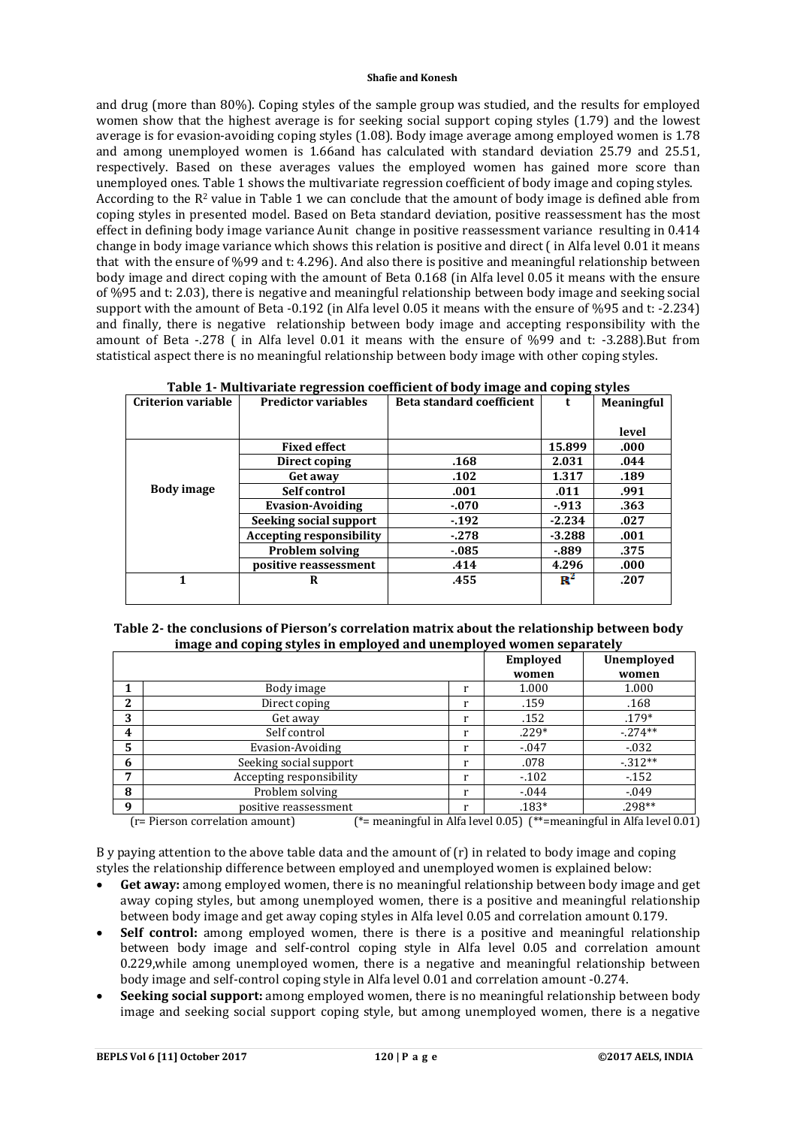and drug (more than 80%). Coping styles of the sample group was studied, and the results for employed women show that the highest average is for seeking social support coping styles (1.79) and the lowest average is for evasion-avoiding coping styles (1.08). Body image average among employed women is 1.78 and among unemployed women is 1.66and has calculated with standard deviation 25.79 and 25.51, respectively. Based on these averages values the employed women has gained more score than unemployed ones. Table 1 shows the multivariate regression coefficient of body image and coping styles. According to the R2 value in Table 1 we can conclude that the amount of body image is defined able from coping styles in presented model. Based on Beta standard deviation, positive reassessment has the most effect in defining body image variance Aunit change in positive reassessment variance resulting in 0.414 change in body image variance which shows this relation is positive and direct ( in Alfa level 0.01 it means that with the ensure of %99 and t: 4.296). And also there is positive and meaningful relationship between body image and direct coping with the amount of Beta 0.168 (in Alfa level 0.05 it means with the ensure of %95 and t: 2.03), there is negative and meaningful relationship between body image and seeking social support with the amount of Beta -0.192 (in Alfa level 0.05 it means with the ensure of %95 and t: -2.234) and finally, there is negative relationship between body image and accepting responsibility with the amount of Beta -.278 ( in Alfa level 0.01 it means with the ensure of %99 and t: -3.288).But from statistical aspect there is no meaningful relationship between body image with other coping styles.

| <b>Criterion variable</b> | <b>Predictor variables</b>      | Beta standard coefficient | t              | <b>Meaningful</b> |
|---------------------------|---------------------------------|---------------------------|----------------|-------------------|
|                           |                                 |                           |                |                   |
|                           |                                 |                           |                | level             |
| <b>Body</b> image         | <b>Fixed effect</b>             |                           | 15.899         | .000              |
|                           | Direct coping                   | .168                      | 2.031          | .044              |
|                           | Get away                        | .102                      | 1.317          | .189              |
|                           | Self control                    | .001                      | .011           | .991              |
|                           | <b>Evasion-Avoiding</b>         | $-.070$                   | $-913$         | .363              |
|                           | Seeking social support          | $-192$                    | $-2.234$       | .027              |
|                           | <b>Accepting responsibility</b> | $-278$                    | $-3.288$       | .001              |
|                           | <b>Problem solving</b>          | $-0.085$                  | $-889$         | .375              |
|                           | positive reassessment           | .414                      | 4.296          | .000              |
|                           | R                               | .455                      | $\mathbf{R}^2$ | .207              |
|                           |                                 |                           |                |                   |

**Table 1- Multivariate regression coefficient of body image and coping styles**

| Table 2- the conclusions of Pierson's correlation matrix about the relationship between body |
|----------------------------------------------------------------------------------------------|
| image and coping styles in employed and unemployed women separately                          |

|              |                                                                                                                                                           |   | <b>Employed</b> | <b>Unemployed</b>     |
|--------------|-----------------------------------------------------------------------------------------------------------------------------------------------------------|---|-----------------|-----------------------|
|              |                                                                                                                                                           |   | women           | women                 |
|              | Body image                                                                                                                                                |   | 1.000           | 1.000                 |
| $\mathbf{2}$ | Direct coping                                                                                                                                             | r | .159            | .168                  |
| 3            | Get away                                                                                                                                                  | r | .152            | $.179*$               |
| 4            | Self control                                                                                                                                              | r | $.229*$         | $-.274**$             |
| 5            | Evasion-Avoiding                                                                                                                                          | r | $-0.047$        | $-0.032$              |
| 6            | Seeking social support                                                                                                                                    | n | .078            | $-312**$              |
| 7            | Accepting responsibility                                                                                                                                  | r | $-102$          | $-152$                |
| 8            | Problem solving                                                                                                                                           | r | $-0.044$        | $-0.049$              |
| 9            | positive reassessment                                                                                                                                     |   | $.183*$         | $.298**$              |
|              | $\sim$<br>$\mathbf{r}$<br>$\mathbf{1}$<br>the contract of the contract of the contract of the contract of the contract of the contract of the contract of |   | $1.0.053$ $644$ | $c_1$ , $c_2$<br>100d |

(r= Pierson correlation amount) (\*= meaningful in Alfa level 0.05) (\*\*=meaningful in Alfa level 0.01)

B y paying attention to the above table data and the amount of  $(r)$  in related to body image and coping styles the relationship difference between employed and unemployed women is explained below:

- **Get away:** among employed women, there is no meaningful relationship between body image and get away coping styles, but among unemployed women, there is a positive and meaningful relationship between body image and get away coping styles in Alfa level 0.05 and correlation amount 0.179.
- **Self control:** among employed women, there is there is a positive and meaningful relationship between body image and self-control coping style in Alfa level 0.05 and correlation amount 0.229,while among unemployed women, there is a negative and meaningful relationship between body image and self-control coping style in Alfa level 0.01 and correlation amount -0.274.
- **Seeking social support:** among employed women, there is no meaningful relationship between body image and seeking social support coping style, but among unemployed women, there is a negative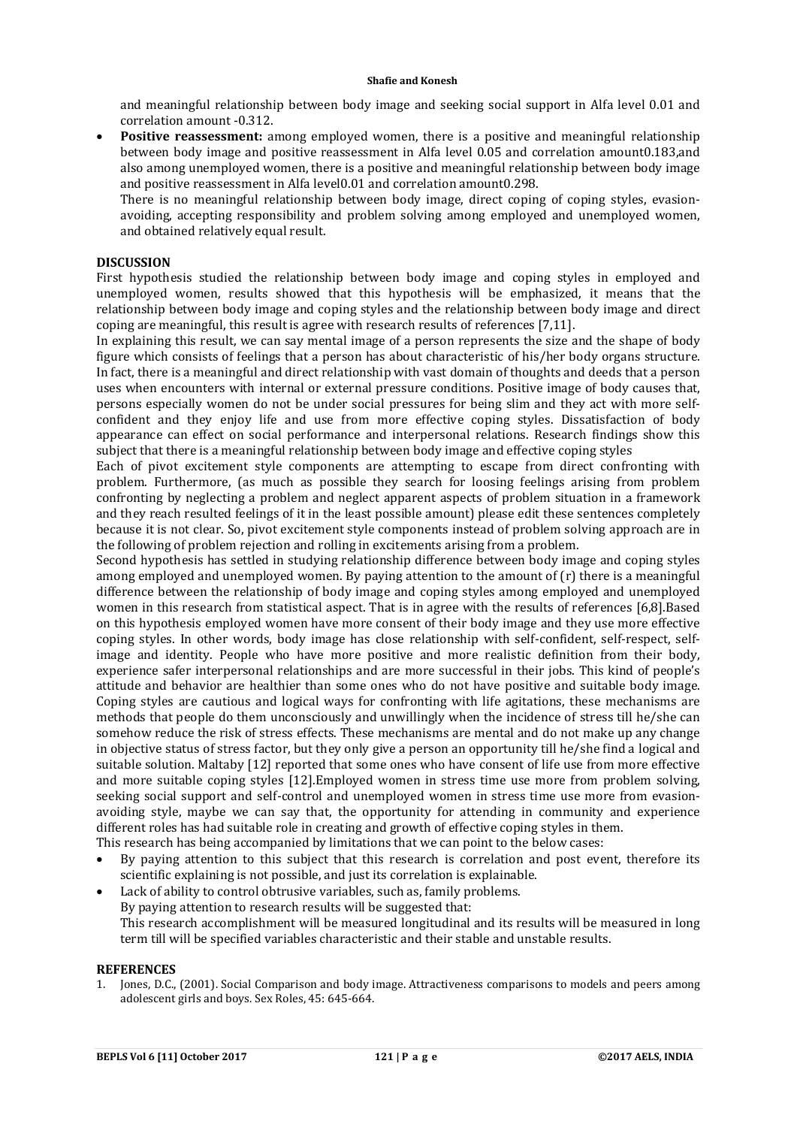and meaningful relationship between body image and seeking social support in Alfa level 0.01 and correlation amount -0.312.

Positive reassessment: among employed women, there is a positive and meaningful relationship between body image and positive reassessment in Alfa level 0.05 and correlation amount0.183,and also among unemployed women, there is a positive and meaningful relationship between body image and positive reassessment in Alfa level0.01 and correlation amount0.298.

There is no meaningful relationship between body image, direct coping of coping styles, evasionavoiding, accepting responsibility and problem solving among employed and unemployed women, and obtained relatively equal result.

# **DISCUSSION**

First hypothesis studied the relationship between body image and coping styles in employed and unemployed women, results showed that this hypothesis will be emphasized, it means that the relationship between body image and coping styles and the relationship between body image and direct coping are meaningful, this result is agree with research results of references [7,11].

In explaining this result, we can say mental image of a person represents the size and the shape of body figure which consists of feelings that a person has about characteristic of his/her body organs structure. In fact, there is a meaningful and direct relationship with vast domain of thoughts and deeds that a person uses when encounters with internal or external pressure conditions. Positive image of body causes that, persons especially women do not be under social pressures for being slim and they act with more selfconfident and they enjoy life and use from more effective coping styles. Dissatisfaction of body appearance can effect on social performance and interpersonal relations. Research findings show this subject that there is a meaningful relationship between body image and effective coping styles

Each of pivot excitement style components are attempting to escape from direct confronting with problem. Furthermore, (as much as possible they search for loosing feelings arising from problem confronting by neglecting a problem and neglect apparent aspects of problem situation in a framework and they reach resulted feelings of it in the least possible amount) please edit these sentences completely because it is not clear. So, pivot excitement style components instead of problem solving approach are in the following of problem rejection and rolling in excitements arising from a problem.

Second hypothesis has settled in studying relationship difference between body image and coping styles among employed and unemployed women. By paying attention to the amount of (r) there is a meaningful difference between the relationship of body image and coping styles among employed and unemployed women in this research from statistical aspect. That is in agree with the results of references [6,8].Based on this hypothesis employed women have more consent of their body image and they use more effective coping styles. In other words, body image has close relationship with self-confident, self-respect, selfimage and identity. People who have more positive and more realistic definition from their body, experience safer interpersonal relationships and are more successful in their jobs. This kind of people's attitude and behavior are healthier than some ones who do not have positive and suitable body image. Coping styles are cautious and logical ways for confronting with life agitations, these mechanisms are methods that people do them unconsciously and unwillingly when the incidence of stress till he/she can somehow reduce the risk of stress effects. These mechanisms are mental and do not make up any change in objective status of stress factor, but they only give a person an opportunity till he/she find a logical and suitable solution. Maltaby [12] reported that some ones who have consent of life use from more effective and more suitable coping styles [12].Employed women in stress time use more from problem solving, seeking social support and self-control and unemployed women in stress time use more from evasionavoiding style, maybe we can say that, the opportunity for attending in community and experience different roles has had suitable role in creating and growth of effective coping styles in them. This research has being accompanied by limitations that we can point to the below cases:

- By paying attention to this subject that this research is correlation and post event, therefore its scientific explaining is not possible, and just its correlation is explainable.
- Lack of ability to control obtrusive variables, such as, family problems. By paying attention to research results will be suggested that: This research accomplishment will be measured longitudinal and its results will be measured in long term till will be specified variables characteristic and their stable and unstable results.

## **REFERENCES**

1. Jones, D.C., (2001). Social Comparison and body image. Attractiveness comparisons to models and peers among adolescent girls and boys. Sex Roles, 45: 645-664.